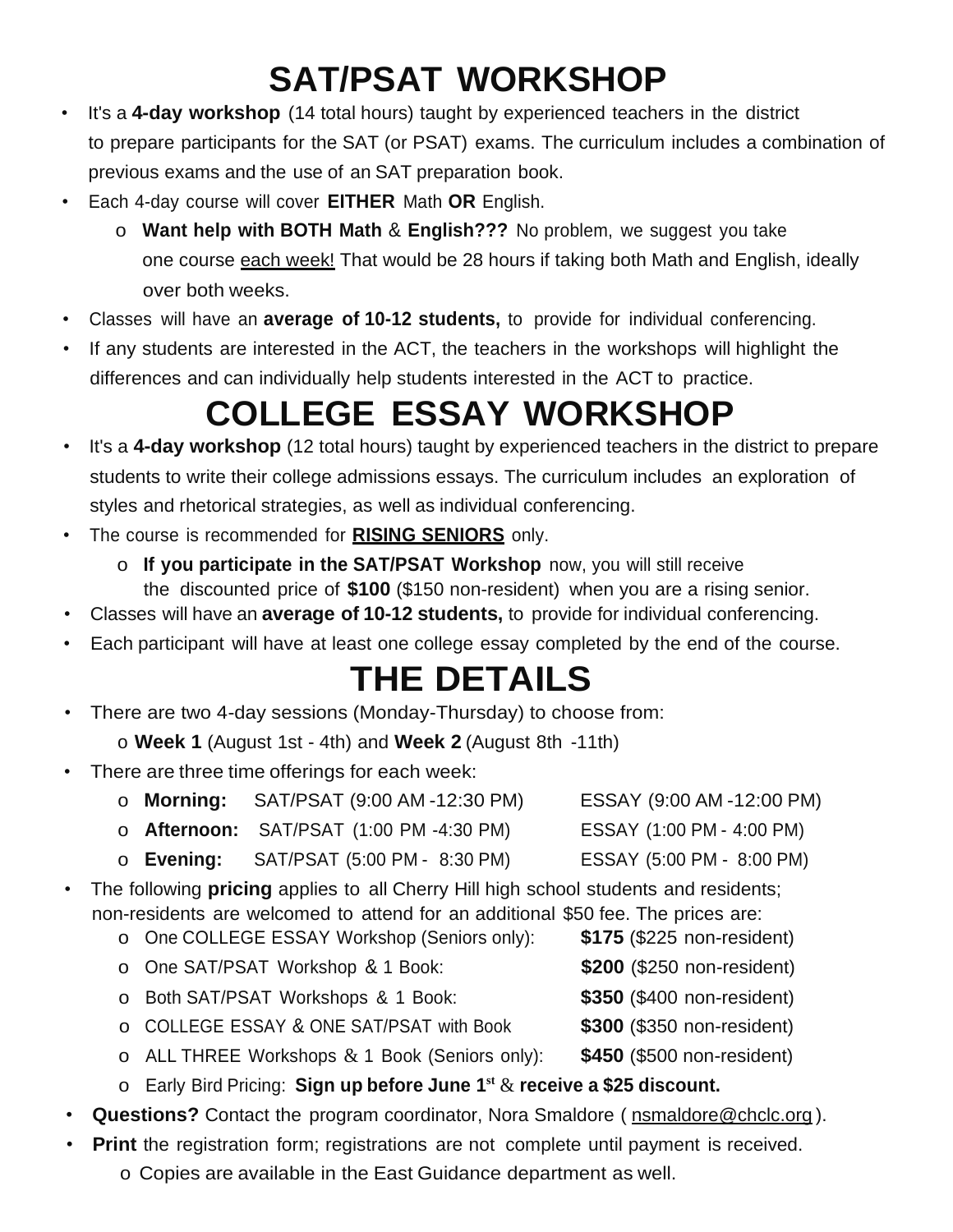## **SAT/PSAT WORKSHOP**

- It's a **4-day workshop** (14 total hours) taught by experienced teachers in the district to prepare participants for the SAT (or PSAT) exams. The curriculum includes a combination of previous exams and the use of an SAT preparation book.
- Each 4-day course will cover **EITHER** Math **OR** English.
	- o **Want help with BOTH Math** & **English???** No problem, we suggest you take one course each week! That would be 28 hours if taking both Math and English, ideally over both weeks.
- Classes will have an **average of 10-12 students,** to provide for individual conferencing.
- If any students are interested in the ACT, the teachers in the workshops will highlight the differences and can individually help students interested in the ACT to practice.

## **COLLEGE ESSAY WORKSHOP**

- It's a **4-day workshop** (12 total hours) taught by experienced teachers in the district to prepare students to write their college admissions essays. The curriculum includes an exploration of styles and rhetorical strategies, as well as individual conferencing.
- The course is recommended for **RISING SENIORS** only.
	- o **If you participate in the SAT/PSAT Workshop** now, you will still receive the discounted price of **\$100** (\$150 non-resident) when you are a rising senior.
- Classes will have an **average of 10-12 students,** to provide for individual conferencing.
- Each participant will have at least one college essay completed by the end of the course.

## **THE DETAILS**

- There are two 4-day sessions (Monday-Thursday) to choose from:
	- o **Week 1** (August 1st 4th) and **Week 2** (August 8th -11th)
- There are three time offerings for each week:
	- o **Morning:** SAT/PSAT (9:00 AM -12:30 PM) ESSAY (9:00 AM -12:00 PM)
	- o **Afternoon:** SAT/PSAT (1:00 PM -4:30 PM) ESSAY (1:00 PM 4:00 PM)
	- o **Evening:** SAT/PSAT (5:00 PM 8:30 PM) ESSAY (5:00 PM 8:00 PM)
- The following **pricing** applies to all Cherry Hill high school students and residents; non-residents are welcomed to attend for an additional \$50 fee. The prices are:
	- o One COLLEGE ESSAY Workshop (Seniors only): **\$175** (\$225 non-resident)
	- o One SAT/PSAT Workshop & 1 Book: **\$200** (\$250 non-resident)
	- o Both SAT/PSAT Workshops & 1 Book: **\$350** (\$400 non-resident)
	- o COLLEGE ESSAY & ONE SAT/PSAT with Book **\$300** (\$350 non-resident)
	- o ALL THREE Workshops & 1 Book (Seniors only): **\$450** (\$500 non-resident)
	- o Early Bird Pricing: **Sign up before June 1st** & **receive a \$25 discount.**
- **Questions?** Contact the program coordinator, Nora Smaldore ( **[nsmaldore@chclc.org](mailto:nsmaldore@chclc.org)**).
- **Print** the registration form; registrations are not complete until payment is received. o Copies are available in the East Guidance department as well.
- 
- 
- 
- 
- 
- 
- 
- 
- 
- -
	-
	-
	-